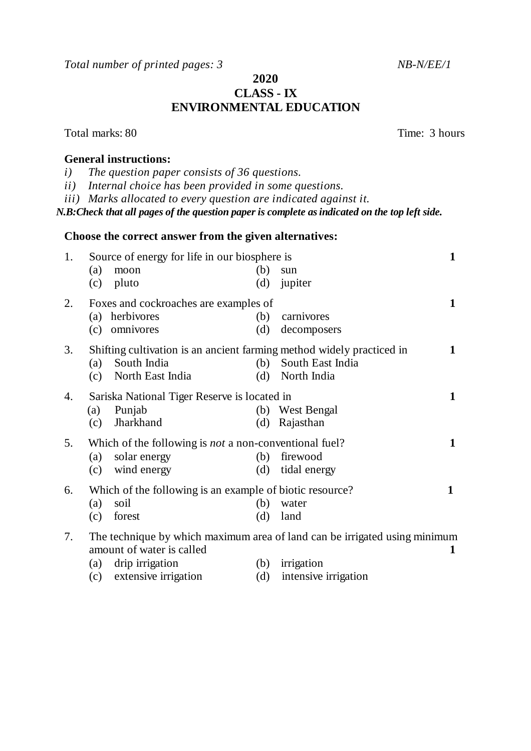*Total number of printed pages: 3* NB-N/EE/1

## **2020 CLASS - IX ENVIRONMENTAL EDUCATION**

**Choose the correct answer from the given alternatives:**  1. Source of energy for life in our biosphere is **1** (a) moon (b) sun (c) pluto (d) jupiter 2. Foxes and cockroaches are examples of **1** (a) herbivores (b) carnivores (c) omnivores (d) decomposers 3. Shifting cultivation is an ancient farming method widely practiced in **1** (a) South India (b) South East India (c) North East India (d) North India 4. Sariska National Tiger Reserve is located in **1** (a) Punjab (b) West Bengal (c) Jharkhand (d) Rajasthan 5. Which of the following is *not* a non-conventional fuel? **1** (a) solar energy (b) firewood (c) wind energy (d) tidal energy 6. Which of the following is an example of biotic resource? **1**  (a) soil (b) water (c) forest (d) land 7. The technique by which maximum area of land can be irrigated using minimum amount of water is called **1** (a) drip irrigation (b) irrigation (c) extensive irrigation (d) intensive irrigation

Total marks: 80 Total marks: 80

## **General instructions:**

- *i) The question paper consists of 36 questions.*
- *ii) Internal choice has been provided in some questions.*
- *iii) Marks allocated to every question are indicated against it.*

*N.B:Check that all pages of the question paper is complete as indicated on the top left side.*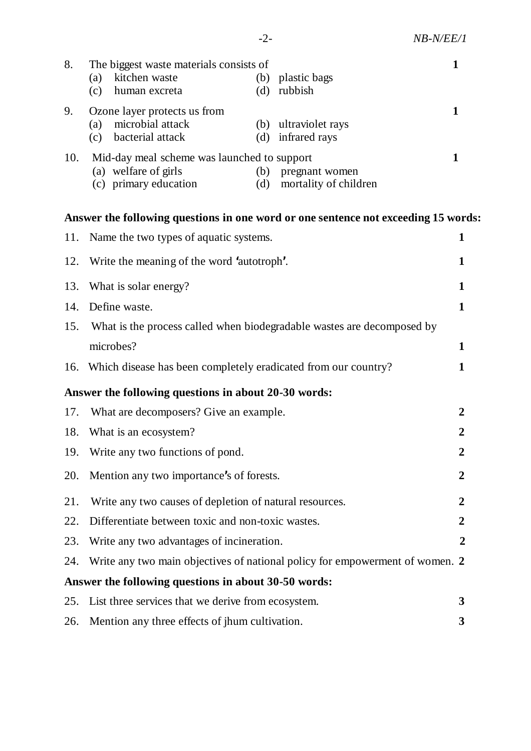| 8.                                                                                 | The biggest waste materials consists of<br>kitchen waste<br>plastic bags<br>(a)<br>(b)<br>(d)<br>rubbish<br>(c)<br>human excreta                      | $\mathbf{1}$     |  |
|------------------------------------------------------------------------------------|-------------------------------------------------------------------------------------------------------------------------------------------------------|------------------|--|
| 9.                                                                                 | Ozone layer protects us from<br>microbial attack<br>(b) ultraviolet rays<br>(a)<br>bacterial attack<br>infrared rays<br>(d)<br>(c)                    | $\mathbf{1}$     |  |
| 10.                                                                                | Mid-day meal scheme was launched to support<br>(a) welfare of girls<br>(b)<br>pregnant women<br>(c) primary education<br>mortality of children<br>(d) | 1                |  |
| Answer the following questions in one word or one sentence not exceeding 15 words: |                                                                                                                                                       |                  |  |
| 11.                                                                                | Name the two types of aquatic systems.                                                                                                                | 1                |  |
| 12.                                                                                | Write the meaning of the word 'autotroph'.                                                                                                            | $\mathbf{1}$     |  |
| 13.                                                                                | What is solar energy?                                                                                                                                 | 1                |  |
| 14.                                                                                | Define waste.                                                                                                                                         | 1                |  |
| 15.                                                                                | What is the process called when biodegradable wastes are decomposed by                                                                                |                  |  |
|                                                                                    | microbes?                                                                                                                                             | $\mathbf{1}$     |  |
|                                                                                    | 16. Which disease has been completely eradicated from our country?                                                                                    | 1                |  |
| Answer the following questions in about 20-30 words:                               |                                                                                                                                                       |                  |  |
| 17.                                                                                | What are decomposers? Give an example.                                                                                                                | $\overline{2}$   |  |
| 18.                                                                                | What is an ecosystem?                                                                                                                                 | $\overline{2}$   |  |
|                                                                                    | 19. Write any two functions of pond.                                                                                                                  | $\overline{2}$   |  |
| 20.                                                                                | Mention any two importance's of forests.                                                                                                              | 2                |  |
| 21.                                                                                | Write any two causes of depletion of natural resources.                                                                                               | $\boldsymbol{2}$ |  |
| 22.                                                                                | Differentiate between toxic and non-toxic wastes.                                                                                                     | $\overline{2}$   |  |
| 23.                                                                                | Write any two advantages of incineration.                                                                                                             | $\overline{2}$   |  |
| 24.                                                                                | Write any two main objectives of national policy for empowerment of women. 2                                                                          |                  |  |
| Answer the following questions in about 30-50 words:                               |                                                                                                                                                       |                  |  |
| 25.                                                                                | List three services that we derive from ecosystem.                                                                                                    | 3                |  |
| 26.                                                                                | Mention any three effects of jhum cultivation.                                                                                                        | 3                |  |